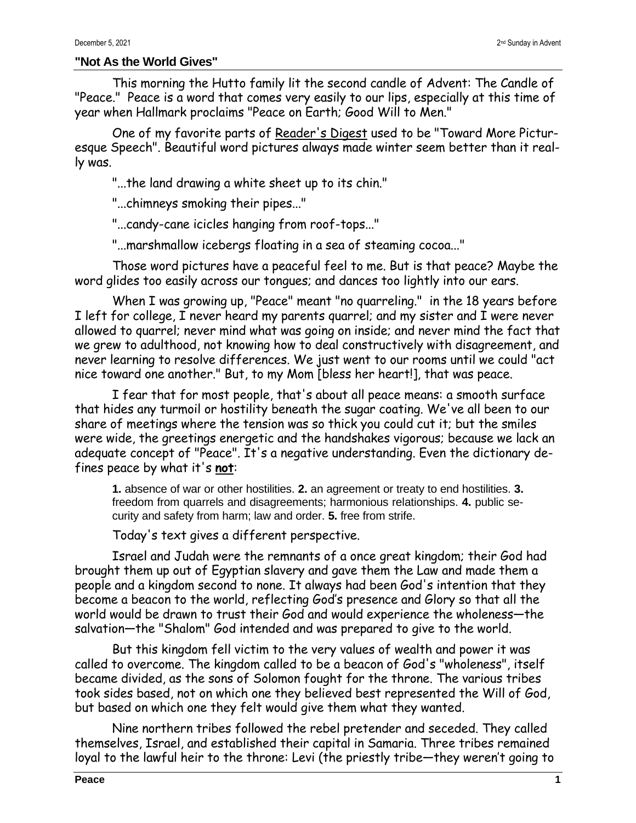## **"Not As the World Gives"**

This morning the Hutto family lit the second candle of Advent: The Candle of "Peace." Peace is a word that comes very easily to our lips, especially at this time of year when Hallmark proclaims "Peace on Earth; Good Will to Men."

One of my favorite parts of Reader's Digest used to be "Toward More Picturesque Speech". Beautiful word pictures always made winter seem better than it really was.

"...the land drawing a white sheet up to its chin."

"...chimneys smoking their pipes..."

"...candy-cane icicles hanging from roof-tops..."

"...marshmallow icebergs floating in a sea of steaming cocoa..."

Those word pictures have a peaceful feel to me. But is that peace? Maybe the word glides too easily across our tongues; and dances too lightly into our ears.

When I was growing up, "Peace" meant "no quarreling." in the 18 years before I left for college, I never heard my parents quarrel; and my sister and I were never allowed to quarrel; never mind what was going on inside; and never mind the fact that we grew to adulthood, not knowing how to deal constructively with disagreement, and never learning to resolve differences. We just went to our rooms until we could "act nice toward one another." But, to my Mom [bless her heart!], that was peace.

I fear that for most people, that's about all peace means: a smooth surface that hides any turmoil or hostility beneath the sugar coating. We've all been to our share of meetings where the tension was so thick you could cut it; but the smiles were wide, the greetings energetic and the handshakes vigorous; because we lack an adequate concept of "Peace". It's a negative understanding. Even the dictionary defines peace by what it's **not**:

**1.** absence of war or other hostilities. **2.** an agreement or treaty to end hostilities. **3.** freedom from quarrels and disagreements; harmonious relationships. **4.** public security and safety from harm; law and order. **5.** free from strife.

Today's text gives a different perspective.

Israel and Judah were the remnants of a once great kingdom; their God had brought them up out of Egyptian slavery and gave them the Law and made them a people and a kingdom second to none. It always had been God's intention that they become a beacon to the world, reflecting God's presence and Glory so that all the world would be drawn to trust their God and would experience the wholeness—the salvation—the "Shalom" God intended and was prepared to give to the world.

But this kingdom fell victim to the very values of wealth and power it was called to overcome. The kingdom called to be a beacon of God's "wholeness", itself became divided, as the sons of Solomon fought for the throne. The various tribes took sides based, not on which one they believed best represented the Will of God, but based on which one they felt would give them what they wanted.

Nine northern tribes followed the rebel pretender and seceded. They called themselves, Israel, and established their capital in Samaria. Three tribes remained loyal to the lawful heir to the throne: Levi (the priestly tribe—they weren't going to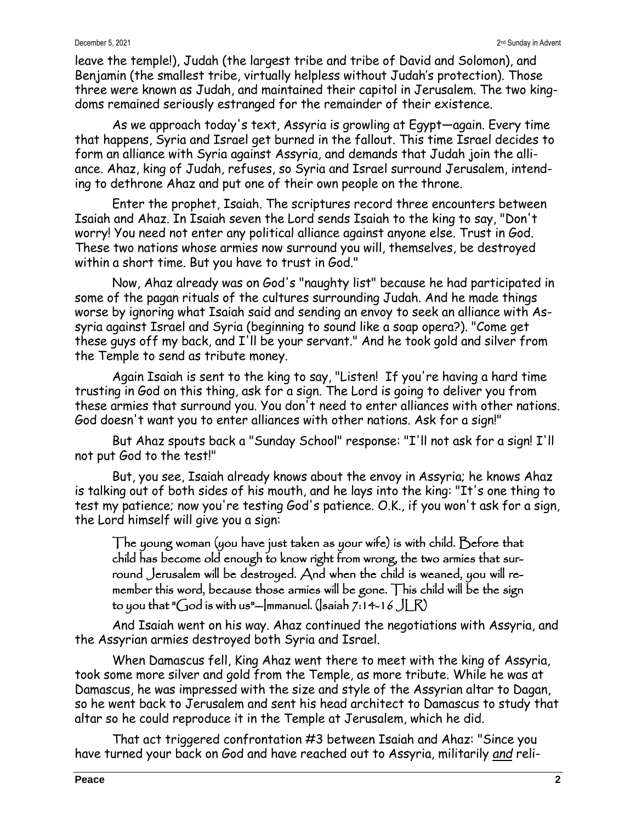leave the temple!), Judah (the largest tribe and tribe of David and Solomon), and Benjamin (the smallest tribe, virtually helpless without Judah's protection). Those three were known as Judah, and maintained their capitol in Jerusalem. The two kingdoms remained seriously estranged for the remainder of their existence.

As we approach today's text, Assyria is growling at Egypt—again. Every time that happens, Syria and Israel get burned in the fallout. This time Israel decides to form an alliance with Syria against Assyria, and demands that Judah join the alliance. Ahaz, king of Judah, refuses, so Syria and Israel surround Jerusalem, intending to dethrone Ahaz and put one of their own people on the throne.

Enter the prophet, Isaiah. The scriptures record three encounters between Isaiah and Ahaz. In Isaiah seven the Lord sends Isaiah to the king to say, "Don't worry! You need not enter any political alliance against anyone else. Trust in God. These two nations whose armies now surround you will, themselves, be destroyed within a short time. But you have to trust in God."

Now, Ahaz already was on God's "naughty list" because he had participated in some of the pagan rituals of the cultures surrounding Judah. And he made things worse by ignoring what Isaiah said and sending an envoy to seek an alliance with Assyria against Israel and Syria (beginning to sound like a soap opera?). "Come get these guys off my back, and I'll be your servant." And he took gold and silver from the Temple to send as tribute money.

Again Isaiah is sent to the king to say, "Listen! If you're having a hard time trusting in God on this thing, ask for a sign. The Lord is going to deliver you from these armies that surround you. You don't need to enter alliances with other nations. God doesn't want you to enter alliances with other nations. Ask for a sign!"

But Ahaz spouts back a "Sunday School" response: "I'll not ask for a sign! I'll not put God to the test!"

But, you see, Isaiah already knows about the envoy in Assyria; he knows Ahaz is talking out of both sides of his mouth, and he lays into the king: "It's one thing to test my patience; now you're testing God's patience. O.K., if you won't ask for a sign, the Lord himself will give you a sign:

The young woman (you have just taken as your wife) is with child. Before that child has become old enough to know right from wrong, the two armies that surround Jerusalem will be destroyed. And when the child is weaned, you will remember this word, because those armies will be gone. This child will be the sign to you that "God is with us"--Immanuel. (Isaiah 7:14-16  $JLR$ )

And Isaiah went on his way. Ahaz continued the negotiations with Assyria, and the Assyrian armies destroyed both Syria and Israel.

When Damascus fell, King Ahaz went there to meet with the king of Assyria, took some more silver and gold from the Temple, as more tribute. While he was at Damascus, he was impressed with the size and style of the Assyrian altar to Dagan, so he went back to Jerusalem and sent his head architect to Damascus to study that altar so he could reproduce it in the Temple at Jerusalem, which he did.

That act triggered confrontation #3 between Isaiah and Ahaz: "Since you have turned your back on God and have reached out to Assyria, militarily *and* reli-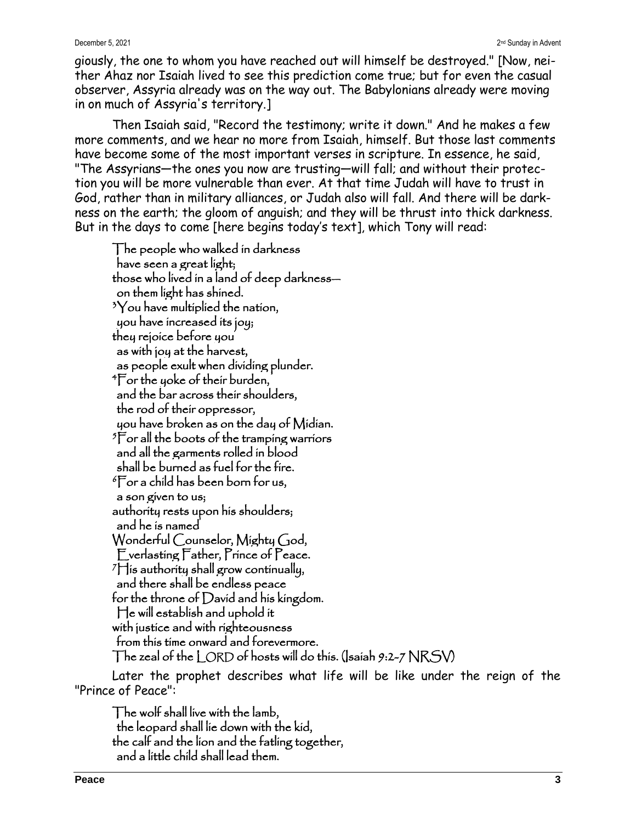## December 5, 2021

giously, the one to whom you have reached out will himself be destroyed." [Now, neither Ahaz nor Isaiah lived to see this prediction come true; but for even the casual observer, Assyria already was on the way out. The Babylonians already were moving in on much of Assyria's territory.]

Then Isaiah said, "Record the testimony; write it down." And he makes a few more comments, and we hear no more from Isaiah, himself. But those last comments have become some of the most important verses in scripture. In essence, he said, "The Assyrians—the ones you now are trusting—will fall; and without their protection you will be more vulnerable than ever. At that time Judah will have to trust in God, rather than in military alliances, or Judah also will fall. And there will be darkness on the earth; the gloom of anguish; and they will be thrust into thick darkness. But in the days to come [here begins today's text], which Tony will read:

The people who walked in darkness have seen a great light; those who lived in a land of deep darkness on them light has shined.  $3$ You have multiplied the nation, you have increased its joy; they rejoice before you as with joy at the harvest, as people exult when dividing plunder. <sup>4</sup>For the yoke of their burden, and the bar across their shoulders, the rod of their oppressor, you have broken as on the day of Midian. <sup>5</sup>For all the boots of the tramping warriors and all the garments rolled in blood shall be burned as fuel for the fire. <sup>6</sup>For a child has been born for us, a son given to us; authority rests upon his shoulders; and he is named Wonderful Counselor, Mighty God, Everlasting Father, Prince of Peace.  $7$  is authority shall grow continually, and there shall be endless peace for the throne of David and his kingdom. He will establish and uphold it with justice and with righteousness from this time onward and forevermore. The zeal of the  $L$ ORD of hosts will do this. (Isaiah 9:2-7  $NRSW$ 

Later the prophet describes what life will be like under the reign of the "Prince of Peace":

The wolf shall live with the lamb, the leopard shall lie down with the kid, the calf and the lion and the fatling together, and a little child shall lead them.